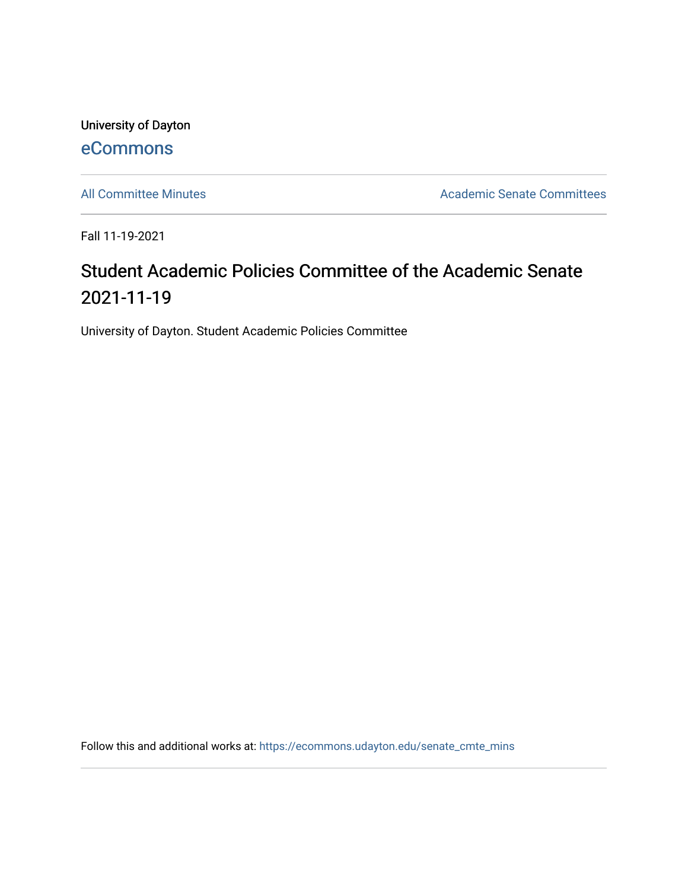University of Dayton [eCommons](https://ecommons.udayton.edu/)

[All Committee Minutes](https://ecommons.udayton.edu/senate_cmte_mins) **Academic Senate Committees** 

Fall 11-19-2021

## Student Academic Policies Committee of the Academic Senate 2021-11-19

University of Dayton. Student Academic Policies Committee

Follow this and additional works at: [https://ecommons.udayton.edu/senate\\_cmte\\_mins](https://ecommons.udayton.edu/senate_cmte_mins?utm_source=ecommons.udayton.edu%2Fsenate_cmte_mins%2F474&utm_medium=PDF&utm_campaign=PDFCoverPages)